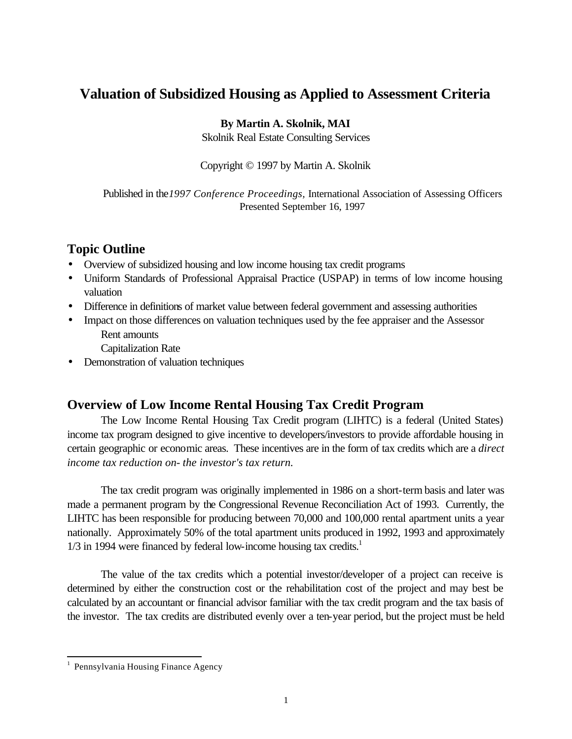# **Valuation of Subsidized Housing as Applied to Assessment Criteria**

**By Martin A. Skolnik, MAI**

Skolnik Real Estate Consulting Services

Copyright © 1997 by Martin A. Skolnik

Published in the*1997 Conference Proceedings,* International Association of Assessing Officers Presented September 16, 1997

## **Topic Outline**

- Overview of subsidized housing and low income housing tax credit programs
- Uniform Standards of Professional Appraisal Practice (USPAP) in terms of low income housing valuation
- Difference in definitions of market value between federal government and assessing authorities
- Impact on those differences on valuation techniques used by the fee appraiser and the Assessor Rent amounts

Capitalization Rate

• Demonstration of valuation techniques

## **Overview of Low Income Rental Housing Tax Credit Program**

The Low Income Rental Housing Tax Credit program (LIHTC) is a federal (United States) income tax program designed to give incentive to developers/investors to provide affordable housing in certain geographic or economic areas. These incentives are in the form of tax credits which are a *direct income tax reduction on- the investor's tax return.*

The tax credit program was originally implemented in 1986 on a short-term basis and later was made a permanent program by the Congressional Revenue Reconciliation Act of 1993. Currently, the LIHTC has been responsible for producing between 70,000 and 100,000 rental apartment units a year nationally. Approximately 50% of the total apartment units produced in 1992, 1993 and approximately  $1/3$  in 1994 were financed by federal low-income housing tax credits.<sup>1</sup>

The value of the tax credits which a potential investor/developer of a project can receive is determined by either the construction cost or the rehabilitation cost of the project and may best be calculated by an accountant or financial advisor familiar with the tax credit program and the tax basis of the investor. The tax credits are distributed evenly over a ten-year period, but the project must be held

<sup>1</sup> Pennsylvania Housing Finance Agency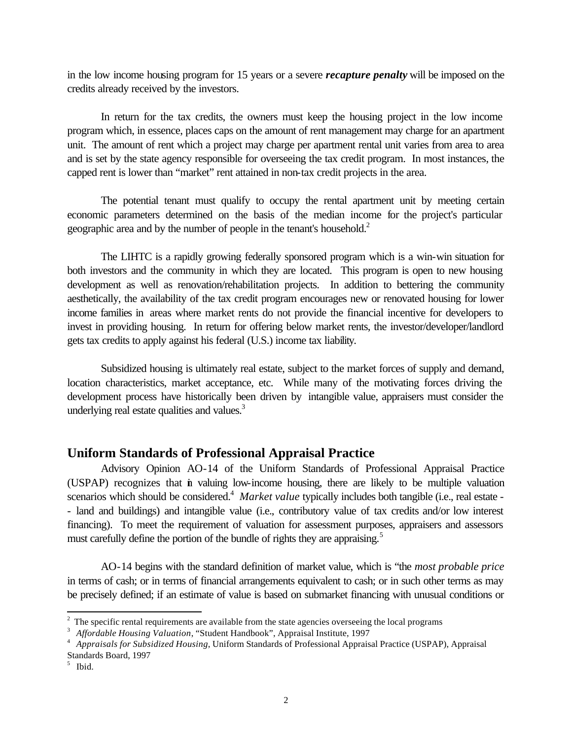in the low income housing program for 15 years or a severe *recapture penalty* will be imposed on the credits already received by the investors.

In return for the tax credits, the owners must keep the housing project in the low income program which, in essence, places caps on the amount of rent management may charge for an apartment unit. The amount of rent which a project may charge per apartment rental unit varies from area to area and is set by the state agency responsible for overseeing the tax credit program. In most instances, the capped rent is lower than "market" rent attained in non-tax credit projects in the area.

The potential tenant must qualify to occupy the rental apartment unit by meeting certain economic parameters determined on the basis of the median income for the project's particular geographic area and by the number of people in the tenant's household.<sup>2</sup>

The LIHTC is a rapidly growing federally sponsored program which is a win-win situation for both investors and the community in which they are located. This program is open to new housing development as well as renovation/rehabilitation projects. In addition to bettering the community aesthetically, the availability of the tax credit program encourages new or renovated housing for lower income families in areas where market rents do not provide the financial incentive for developers to invest in providing housing. In return for offering below market rents, the investor/developer/landlord gets tax credits to apply against his federal (U.S.) income tax liability.

Subsidized housing is ultimately real estate, subject to the market forces of supply and demand, location characteristics, market acceptance, etc. While many of the motivating forces driving the development process have historically been driven by intangible value, appraisers must consider the underlying real estate qualities and values.<sup>3</sup>

### **Uniform Standards of Professional Appraisal Practice**

Advisory Opinion AO-14 of the Uniform Standards of Professional Appraisal Practice (USPAP) recognizes that in valuing low-income housing, there are likely to be multiple valuation scenarios which should be considered.<sup>4</sup> Market value typically includes both tangible (i.e., real estate -- land and buildings) and intangible value (i.e., contributory value of tax credits and/or low interest financing). To meet the requirement of valuation for assessment purposes, appraisers and assessors must carefully define the portion of the bundle of rights they are appraising.<sup>5</sup>

AO-14 begins with the standard definition of market value, which is "the *most probable price* in terms of cash; or in terms of financial arrangements equivalent to cash; or in such other terms as may be precisely defined; if an estimate of value is based on submarket financing with unusual conditions or

<sup>&</sup>lt;sup>2</sup> The specific rental requirements are available from the state agencies overseeing the local programs

<sup>3</sup> *Affordable Housing Valuation*, "Student Handbook", Appraisal Institute, 1997

<sup>4</sup> *Appraisals for Subsidized Housing*, Uniform Standards of Professional Appraisal Practice (USPAP), Appraisal Standards Board, 1997

<sup>5</sup> Ibid.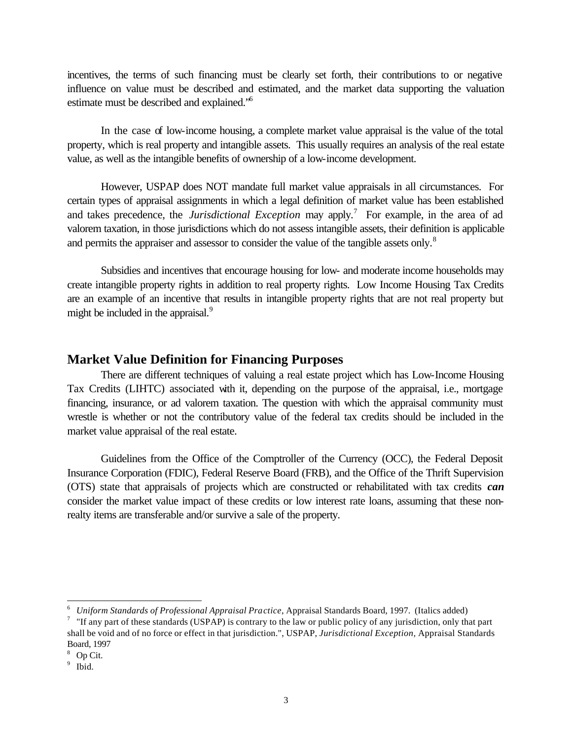incentives, the terms of such financing must be clearly set forth, their contributions to or negative influence on value must be described and estimated, and the market data supporting the valuation estimate must be described and explained."<sup>6</sup>

In the case of low-income housing, a complete market value appraisal is the value of the total property, which is real property and intangible assets. This usually requires an analysis of the real estate value, as well as the intangible benefits of ownership of a low-income development.

However, USPAP does NOT mandate full market value appraisals in all circumstances. For certain types of appraisal assignments in which a legal definition of market value has been established and takes precedence, the *Jurisdictional Exception* may apply.<sup>7</sup> For example, in the area of ad valorem taxation, in those jurisdictions which do not assess intangible assets, their definition is applicable and permits the appraiser and assessor to consider the value of the tangible assets only.<sup>8</sup>

Subsidies and incentives that encourage housing for low- and moderate income households may create intangible property rights in addition to real property rights. Low Income Housing Tax Credits are an example of an incentive that results in intangible property rights that are not real property but might be included in the appraisal.<sup>9</sup>

## **Market Value Definition for Financing Purposes**

There are different techniques of valuing a real estate project which has Low-Income Housing Tax Credits (LIHTC) associated with it, depending on the purpose of the appraisal, i.e., mortgage financing, insurance, or ad valorem taxation. The question with which the appraisal community must wrestle is whether or not the contributory value of the federal tax credits should be included in the market value appraisal of the real estate.

Guidelines from the Office of the Comptroller of the Currency (OCC), the Federal Deposit Insurance Corporation (FDIC), Federal Reserve Board (FRB), and the Office of the Thrift Supervision (OTS) state that appraisals of projects which are constructed or rehabilitated with tax credits *can* consider the market value impact of these credits or low interest rate loans, assuming that these nonrealty items are transferable and/or survive a sale of the property.

<sup>6</sup> *Uniform Standards of Professional Appraisal Practice*, Appraisal Standards Board, 1997. (Italics added)

<sup>&</sup>lt;sup>7</sup> "If any part of these standards (USPAP) is contrary to the law or public policy of any jurisdiction, only that part shall be void and of no force or effect in that jurisdiction.", USPAP, *Jurisdictional Exception,* Appraisal Standards Board, 1997

<sup>8</sup> Op Cit.

<sup>&</sup>lt;sup>9</sup> Ibid.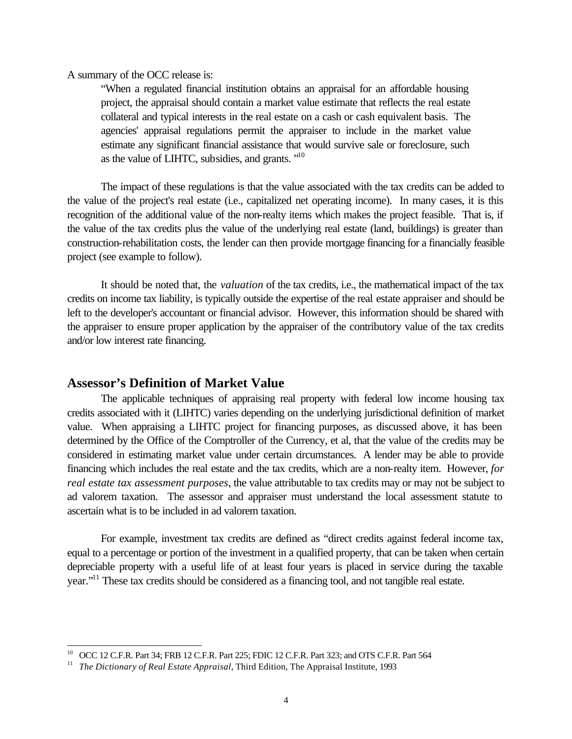A summary of the OCC release is:

"When a regulated financial institution obtains an appraisal for an affordable housing project, the appraisal should contain a market value estimate that reflects the real estate collateral and typical interests in the real estate on a cash or cash equivalent basis. The agencies' appraisal regulations permit the appraiser to include in the market value estimate any significant financial assistance that would survive sale or foreclosure, such as the value of LIHTC, subsidies, and grants. "<sup>10</sup>

The impact of these regulations is that the value associated with the tax credits can be added to the value of the project's real estate (i.e., capitalized net operating income). In many cases, it is this recognition of the additional value of the non-realty items which makes the project feasible. That is, if the value of the tax credits plus the value of the underlying real estate (land, buildings) is greater than construction-rehabilitation costs, the lender can then provide mortgage financing for a financially feasible project (see example to follow).

It should be noted that, the *valuation* of the tax credits, i.e., the mathematical impact of the tax credits on income tax liability, is typically outside the expertise of the real estate appraiser and should be left to the developer's accountant or financial advisor. However, this information should be shared with the appraiser to ensure proper application by the appraiser of the contributory value of the tax credits and/or low interest rate financing.

#### **Assessor's Definition of Market Value**

l

The applicable techniques of appraising real property with federal low income housing tax credits associated with it (LIHTC) varies depending on the underlying jurisdictional definition of market value. When appraising a LIHTC project for financing purposes, as discussed above, it has been determined by the Office of the Comptroller of the Currency, et al, that the value of the credits may be considered in estimating market value under certain circumstances. A lender may be able to provide financing which includes the real estate and the tax credits, which are a non-realty item. However, *for real estate tax assessment purposes*, the value attributable to tax credits may or may not be subject to ad valorem taxation. The assessor and appraiser must understand the local assessment statute to ascertain what is to be included in ad valorem taxation.

For example, investment tax credits are defined as "direct credits against federal income tax, equal to a percentage or portion of the investment in a qualified property, that can be taken when certain depreciable property with a useful life of at least four years is placed in service during the taxable year."<sup>11</sup> These tax credits should be considered as a financing tool, and not tangible real estate.

<sup>10</sup> OCC 12 C.F.R. Part 34; FRB 12 C.F.R. Part 225; FDIC 12 C.F.R. Part 323; and OTS C.F.R. Part 564

<sup>&</sup>lt;sup>11</sup> The Dictionary of Real Estate Appraisal, Third Edition, The Appraisal Institute, 1993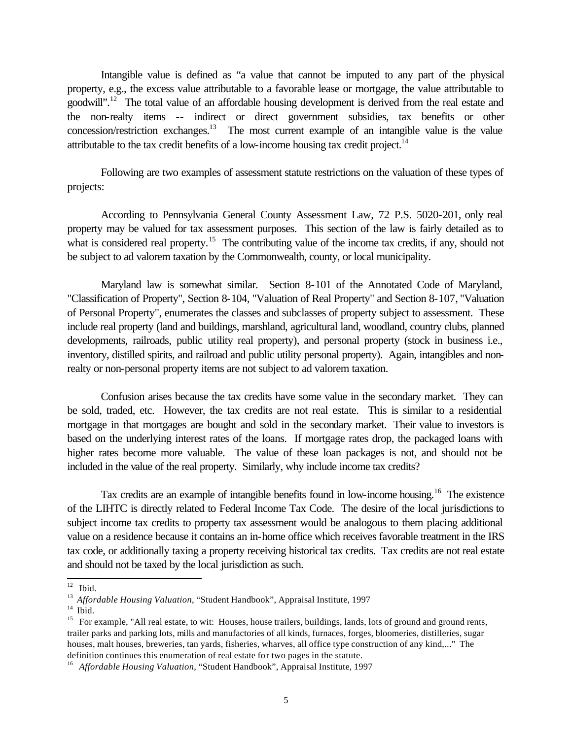Intangible value is defined as "a value that cannot be imputed to any part of the physical property, e.g., the excess value attributable to a favorable lease or mortgage, the value attributable to goodwill"<sup>12</sup>. The total value of an affordable housing development is derived from the real estate and the non-realty items -- indirect or direct government subsidies, tax benefits or other concession/restriction exchanges.<sup>13</sup> The most current example of an intangible value is the value attributable to the tax credit benefits of a low-income housing tax credit project.<sup>14</sup>

Following are two examples of assessment statute restrictions on the valuation of these types of projects:

According to Pennsylvania General County Assessment Law, 72 P.S. 5020-201, only real property may be valued for tax assessment purposes. This section of the law is fairly detailed as to what is considered real property.<sup>15</sup> The contributing value of the income tax credits, if any, should not be subject to ad valorem taxation by the Commonwealth, county, or local municipality.

Maryland law is somewhat similar. Section 8-101 of the Annotated Code of Maryland, "Classification of Property", Section 8-104, "Valuation of Real Property" and Section 8-107, "Valuation of Personal Property", enumerates the classes and subclasses of property subject to assessment. These include real property (land and buildings, marshland, agricultural land, woodland, country clubs, planned developments, railroads, public utility real property), and personal property (stock in business i.e., inventory, distilled spirits, and railroad and public utility personal property). Again, intangibles and nonrealty or non-personal property items are not subject to ad valorem taxation.

Confusion arises because the tax credits have some value in the secondary market. They can be sold, traded, etc. However, the tax credits are not real estate. This is similar to a residential mortgage in that mortgages are bought and sold in the secondary market. Their value to investors is based on the underlying interest rates of the loans. If mortgage rates drop, the packaged loans with higher rates become more valuable. The value of these loan packages is not, and should not be included in the value of the real property. Similarly, why include income tax credits?

Tax credits are an example of intangible benefits found in low-income housing.<sup>16</sup> The existence of the LIHTC is directly related to Federal Income Tax Code. The desire of the local jurisdictions to subject income tax credits to property tax assessment would be analogous to them placing additional value on a residence because it contains an in-home office which receives favorable treatment in the IRS tax code, or additionally taxing a property receiving historical tax credits. Tax credits are not real estate and should not be taxed by the local jurisdiction as such.

 $12$  Ibid.

<sup>&</sup>lt;sup>13</sup> Affordable Housing Valuation, "Student Handbook", Appraisal Institute, 1997

 $14$  Ibid.

<sup>&</sup>lt;sup>15</sup> For example, "All real estate, to wit: Houses, house trailers, buildings, lands, lots of ground and ground rents, trailer parks and parking lots, mills and manufactories of all kinds, furnaces, forges, bloomeries, distilleries, sugar houses, malt houses, breweries, tan yards, fisheries, wharves, all office type construction of any kind,..." The definition continues this enumeration of real estate for two pages in the statute.

<sup>&</sup>lt;sup>16</sup> Affordable Housing Valuation, "Student Handbook", Appraisal Institute, 1997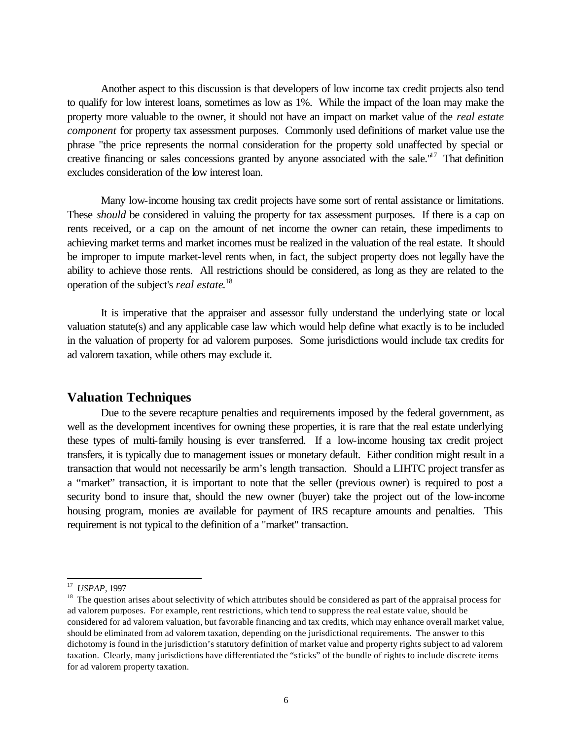Another aspect to this discussion is that developers of low income tax credit projects also tend to qualify for low interest loans, sometimes as low as 1%. While the impact of the loan may make the property more valuable to the owner, it should not have an impact on market value of the *real estate component* for property tax assessment purposes. Commonly used definitions of market value use the phrase "the price represents the normal consideration for the property sold unaffected by special or creative financing or sales concessions granted by anyone associated with the sale."<sup>17</sup> That definition excludes consideration of the low interest loan.

Many low-income housing tax credit projects have some sort of rental assistance or limitations. These *should* be considered in valuing the property for tax assessment purposes. If there is a cap on rents received, or a cap on the amount of net income the owner can retain, these impediments to achieving market terms and market incomes must be realized in the valuation of the real estate. It should be improper to impute market-level rents when, in fact, the subject property does not legally have the ability to achieve those rents. All restrictions should be considered, as long as they are related to the operation of the subject's *real estate*. 18

It is imperative that the appraiser and assessor fully understand the underlying state or local valuation statute(s) and any applicable case law which would help define what exactly is to be included in the valuation of property for ad valorem purposes. Some jurisdictions would include tax credits for ad valorem taxation, while others may exclude it.

### **Valuation Techniques**

Due to the severe recapture penalties and requirements imposed by the federal government, as well as the development incentives for owning these properties, it is rare that the real estate underlying these types of multi-family housing is ever transferred. If a low-income housing tax credit project transfers, it is typically due to management issues or monetary default. Either condition might result in a transaction that would not necessarily be arm's length transaction. Should a LIHTC project transfer as a "market" transaction, it is important to note that the seller (previous owner) is required to post a security bond to insure that, should the new owner (buyer) take the project out of the low-income housing program, monies are available for payment of IRS recapture amounts and penalties. This requirement is not typical to the definition of a "market" transaction.

<sup>17</sup> *USPAP*, 1997

 $18$  The question arises about selectivity of which attributes should be considered as part of the appraisal process for ad valorem purposes. For example, rent restrictions, which tend to suppress the real estate value, should be considered for ad valorem valuation, but favorable financing and tax credits, which may enhance overall market value, should be eliminated from ad valorem taxation, depending on the jurisdictional requirements. The answer to this dichotomy is found in the jurisdiction's statutory definition of market value and property rights subject to ad valorem taxation. Clearly, many jurisdictions have differentiated the "sticks" of the bundle of rights to include discrete items for ad valorem property taxation.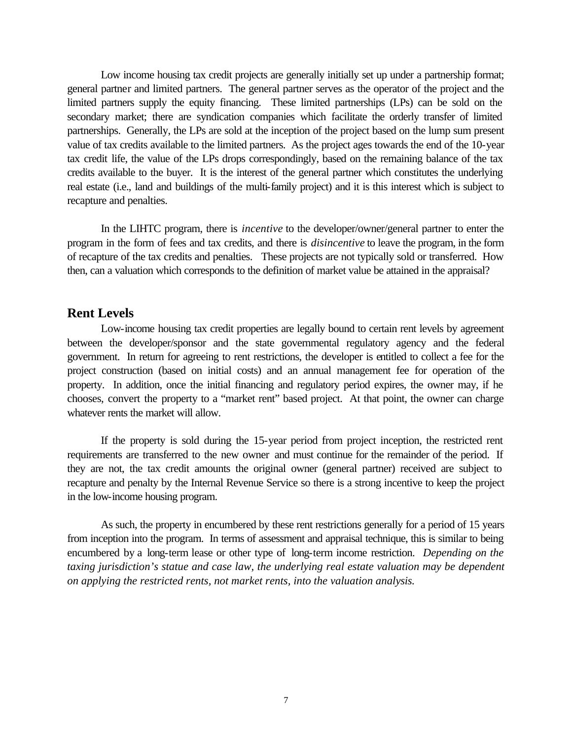Low income housing tax credit projects are generally initially set up under a partnership format; general partner and limited partners. The general partner serves as the operator of the project and the limited partners supply the equity financing. These limited partnerships (LPs) can be sold on the secondary market; there are syndication companies which facilitate the orderly transfer of limited partnerships. Generally, the LPs are sold at the inception of the project based on the lump sum present value of tax credits available to the limited partners. As the project ages towards the end of the 10-year tax credit life, the value of the LPs drops correspondingly, based on the remaining balance of the tax credits available to the buyer. It is the interest of the general partner which constitutes the underlying real estate (i.e., land and buildings of the multi-family project) and it is this interest which is subject to recapture and penalties.

In the LIHTC program, there is *incentive* to the developer/owner/general partner to enter the program in the form of fees and tax credits, and there is *disincentive* to leave the program, in the form of recapture of the tax credits and penalties. These projects are not typically sold or transferred. How then, can a valuation which corresponds to the definition of market value be attained in the appraisal?

#### **Rent Levels**

Low-income housing tax credit properties are legally bound to certain rent levels by agreement between the developer/sponsor and the state governmental regulatory agency and the federal government. In return for agreeing to rent restrictions, the developer is entitled to collect a fee for the project construction (based on initial costs) and an annual management fee for operation of the property. In addition, once the initial financing and regulatory period expires, the owner may, if he chooses, convert the property to a "market rent" based project. At that point, the owner can charge whatever rents the market will allow.

If the property is sold during the 15-year period from project inception, the restricted rent requirements are transferred to the new owner and must continue for the remainder of the period. If they are not, the tax credit amounts the original owner (general partner) received are subject to recapture and penalty by the Internal Revenue Service so there is a strong incentive to keep the project in the low-income housing program.

As such, the property in encumbered by these rent restrictions generally for a period of 15 years from inception into the program. In terms of assessment and appraisal technique, this is similar to being encumbered by a long-term lease or other type of long-term income restriction. *Depending on the taxing jurisdiction's statue and case law, the underlying real estate valuation may be dependent on applying the restricted rents, not market rents, into the valuation analysis.*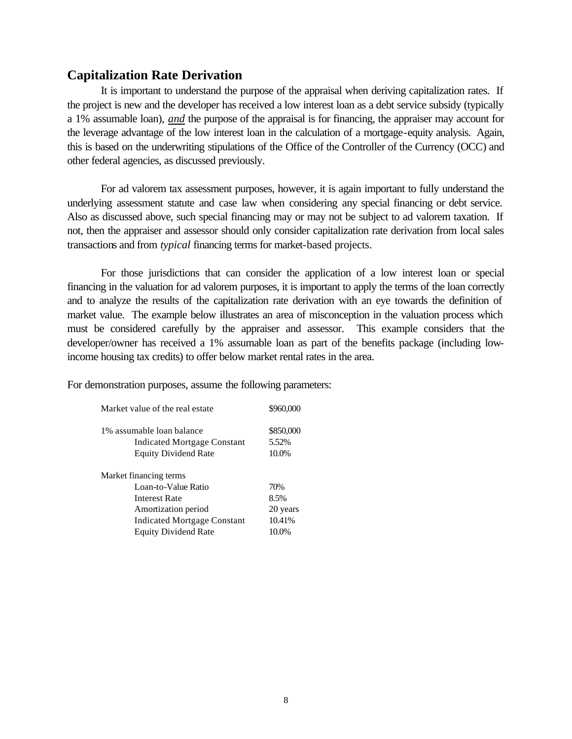## **Capitalization Rate Derivation**

It is important to understand the purpose of the appraisal when deriving capitalization rates. If the project is new and the developer has received a low interest loan as a debt service subsidy (typically a 1% assumable loan), *and* the purpose of the appraisal is for financing, the appraiser may account for the leverage advantage of the low interest loan in the calculation of a mortgage-equity analysis. Again, this is based on the underwriting stipulations of the Office of the Controller of the Currency (OCC) and other federal agencies, as discussed previously.

For ad valorem tax assessment purposes, however, it is again important to fully understand the underlying assessment statute and case law when considering any special financing or debt service. Also as discussed above, such special financing may or may not be subject to ad valorem taxation. If not, then the appraiser and assessor should only consider capitalization rate derivation from local sales transactions and from *typical* financing terms for market-based projects.

For those jurisdictions that can consider the application of a low interest loan or special financing in the valuation for ad valorem purposes, it is important to apply the terms of the loan correctly and to analyze the results of the capitalization rate derivation with an eye towards the definition of market value. The example below illustrates an area of misconception in the valuation process which must be considered carefully by the appraiser and assessor. This example considers that the developer/owner has received a 1% assumable loan as part of the benefits package (including lowincome housing tax credits) to offer below market rental rates in the area.

For demonstration purposes, assume the following parameters:

| Market value of the real estate    | \$960,000 |  |
|------------------------------------|-----------|--|
| 1% assumable loan balance          | \$850,000 |  |
| Indicated Mortgage Constant        | 5.52%     |  |
| <b>Equity Dividend Rate</b>        | 10.0%     |  |
| Market financing terms             |           |  |
| Loan-to-Value Ratio                | 70%       |  |
| <b>Interest Rate</b>               | 8.5%      |  |
| Amortization period                | 20 years  |  |
| <b>Indicated Mortgage Constant</b> | 10.41%    |  |
| <b>Equity Dividend Rate</b>        | 10.0%     |  |
|                                    |           |  |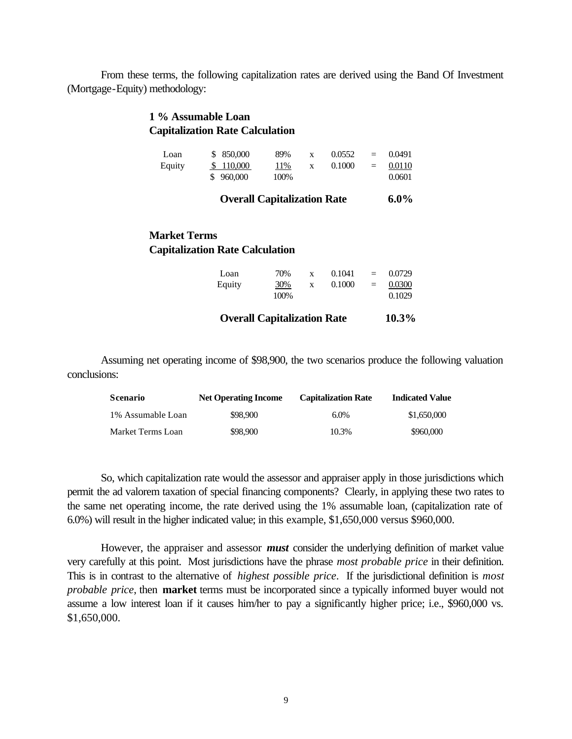From these terms, the following capitalization rates are derived using the Band Of Investment (Mortgage-Equity) methodology:

## **1 % Assumable Loan Capitalization Rate Calculation**

| Loan   | \$ 850,000 | 89%  | 0.0552 | $=$ | 0.0491 |
|--------|------------|------|--------|-----|--------|
| Equity | \$110,000  | 11%  | 0.1000 | $=$ | 0.0110 |
|        | \$960,000  | 100% |        |     | 0.0601 |

#### **Overall Capitalization Rate 6.0%**

#### **Market Terms Capitalization Rate Calculation**

| <b>Overall Capitalization Rate</b> |             |   |        |     | $10.3\%$         |  |
|------------------------------------|-------------|---|--------|-----|------------------|--|
| Equity                             | 30%<br>100% | X | 0.1000 | $=$ | 0.0300<br>0.1029 |  |
| Loan                               | 70%         | X | 0.1041 | $=$ | 0.0729           |  |
|                                    |             |   |        |     |                  |  |

Assuming net operating income of \$98,900, the two scenarios produce the following valuation conclusions:

| <b>Scenario</b>   | <b>Net Operating Income</b> | <b>Capitalization Rate</b> | <b>Indicated Value</b> |
|-------------------|-----------------------------|----------------------------|------------------------|
| 1% Assumable Loan | \$98,900                    | $6.0\%$                    | \$1,650,000            |
| Market Terms Loan | \$98,900                    | 10.3%                      | \$960,000              |

So, which capitalization rate would the assessor and appraiser apply in those jurisdictions which permit the ad valorem taxation of special financing components? Clearly, in applying these two rates to the same net operating income, the rate derived using the 1% assumable loan, (capitalization rate of 6.0%) will result in the higher indicated value; in this example, \$1,650,000 versus \$960,000.

However, the appraiser and assessor *must* consider the underlying definition of market value very carefully at this point. Most jurisdictions have the phrase *most probable price* in their definition. This is in contrast to the alternative of *highest possible price*. If the jurisdictional definition is *most probable price*, then **market** terms must be incorporated since a typically informed buyer would not assume a low interest loan if it causes him/her to pay a significantly higher price; i.e., \$960,000 vs. \$1,650,000.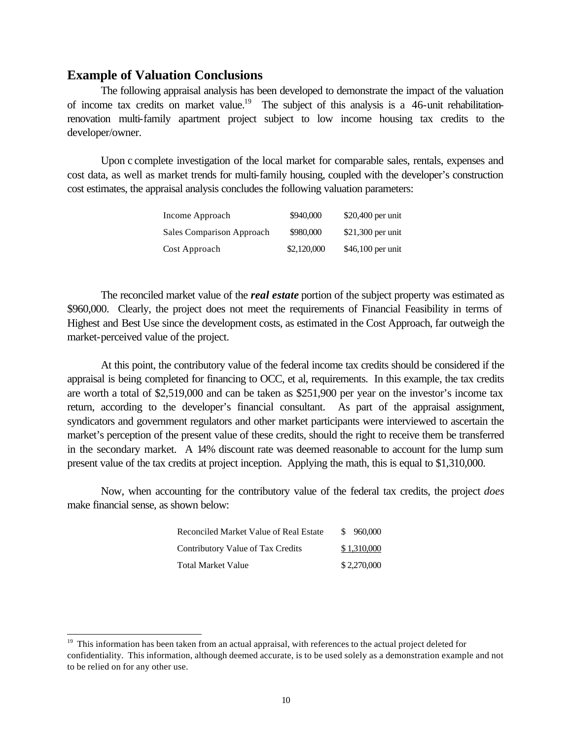## **Example of Valuation Conclusions**

l

The following appraisal analysis has been developed to demonstrate the impact of the valuation of income tax credits on market value.<sup>19</sup> The subject of this analysis is a 46-unit rehabilitationrenovation multi-family apartment project subject to low income housing tax credits to the developer/owner.

Upon c complete investigation of the local market for comparable sales, rentals, expenses and cost data, as well as market trends for multi-family housing, coupled with the developer's construction cost estimates, the appraisal analysis concludes the following valuation parameters:

| Income Approach           | \$940,000   | \$20,400 per unit  |
|---------------------------|-------------|--------------------|
| Sales Comparison Approach | \$980,000   | $$21,300$ per unit |
| Cost Approach             | \$2,120,000 | $$46,100$ per unit |

The reconciled market value of the *real estate* portion of the subject property was estimated as \$960,000. Clearly, the project does not meet the requirements of Financial Feasibility in terms of Highest and Best Use since the development costs, as estimated in the Cost Approach, far outweigh the market-perceived value of the project.

At this point, the contributory value of the federal income tax credits should be considered if the appraisal is being completed for financing to OCC, et al, requirements. In this example, the tax credits are worth a total of \$2,519,000 and can be taken as \$251,900 per year on the investor's income tax return, according to the developer's financial consultant. As part of the appraisal assignment, syndicators and government regulators and other market participants were interviewed to ascertain the market's perception of the present value of these credits, should the right to receive them be transferred in the secondary market. A 14% discount rate was deemed reasonable to account for the lump sum present value of the tax credits at project inception. Applying the math, this is equal to \$1,310,000.

Now, when accounting for the contributory value of the federal tax credits, the project *does* make financial sense, as shown below:

| Reconciled Market Value of Real Estate | \$960,000   |
|----------------------------------------|-------------|
| Contributory Value of Tax Credits      | \$1,310,000 |
| <b>Total Market Value</b>              | \$2,270,000 |

<sup>&</sup>lt;sup>19</sup> This information has been taken from an actual appraisal, with references to the actual project deleted for confidentiality. This information, although deemed accurate, is to be used solely as a demonstration example and not to be relied on for any other use.